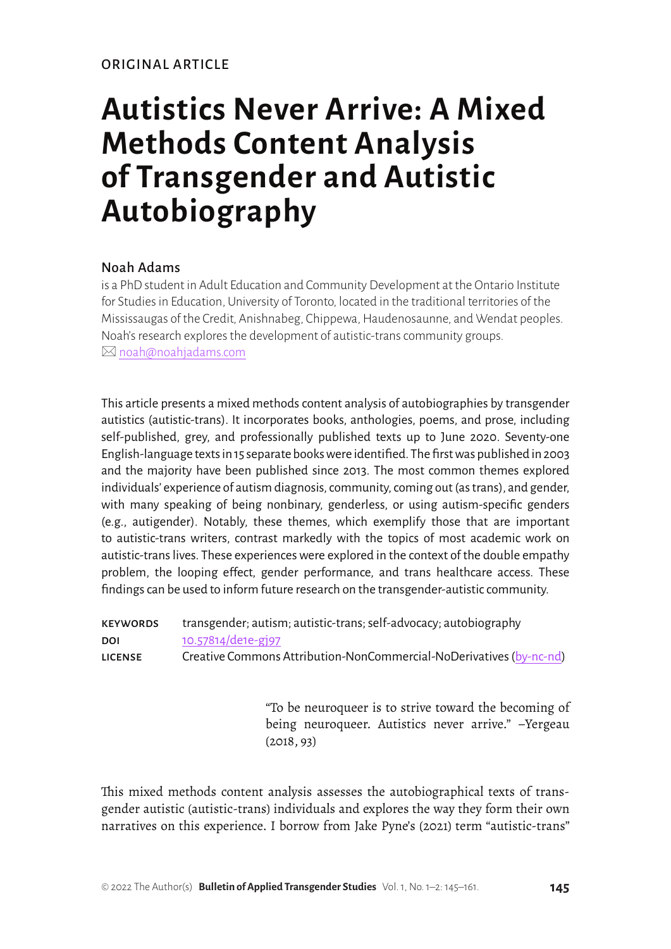# **Autistics Never Arrive: A Mixed Methods Content Analysis of Transgender and Autistic Autobiography**

## Noah Adams

is a PhD student in Adult Education and Community Development at the Ontario Institute for Studies in Education, University of Toronto, located in the traditional territories of the Mississaugas of the Credit, Anishnabeg, Chippewa, Haudenosaunne, and Wendat peoples. Noah's research explores the development of autistic-trans community groups.  $\boxtimes$  [noah@noahjadams.com](mailto:noah%40noahjadams.com?subject=)

This article presents a mixed methods content analysis of autobiographies by transgender autistics (autistic-trans). It incorporates books, anthologies, poems, and prose, including self-published, grey, and professionally published texts up to June 2020. Seventy-one English-language texts in 15 separate books were identified. The first was published in 2003 and the majority have been published since 2013. The most common themes explored individuals' experience of autism diagnosis, community, coming out (as trans), and gender, with many speaking of being nonbinary, genderless, or using autism-specific genders (e.g., autigender). Notably, these themes, which exemplify those that are important to autistic-trans writers, contrast markedly with the topics of most academic work on autistic-trans lives. These experiences were explored in the context of the double empathy problem, the looping effect, gender performance, and trans healthcare access. These findings can be used to inform future research on the transgender-autistic community.

| <b>KEYWORDS</b> | transgender; autism; autistic-trans; self-advocacy; autobiography   |
|-----------------|---------------------------------------------------------------------|
| <b>DOI</b>      | 10.57814/de1e-gj97                                                  |
| <b>LICENSE</b>  | Creative Commons Attribution-NonCommercial-NoDerivatives (by-nc-nd) |

"To be neuroqueer is to strive toward the becoming of being neuroqueer. Autistics never arrive." –Yergeau (2018, 93)

This mixed methods content analysis assesses the autobiographical texts of transgender autistic (autistic-trans) individuals and explores the way they form their own narratives on this experience. I borrow from Jake Pyne's (2021) term "autistic-trans"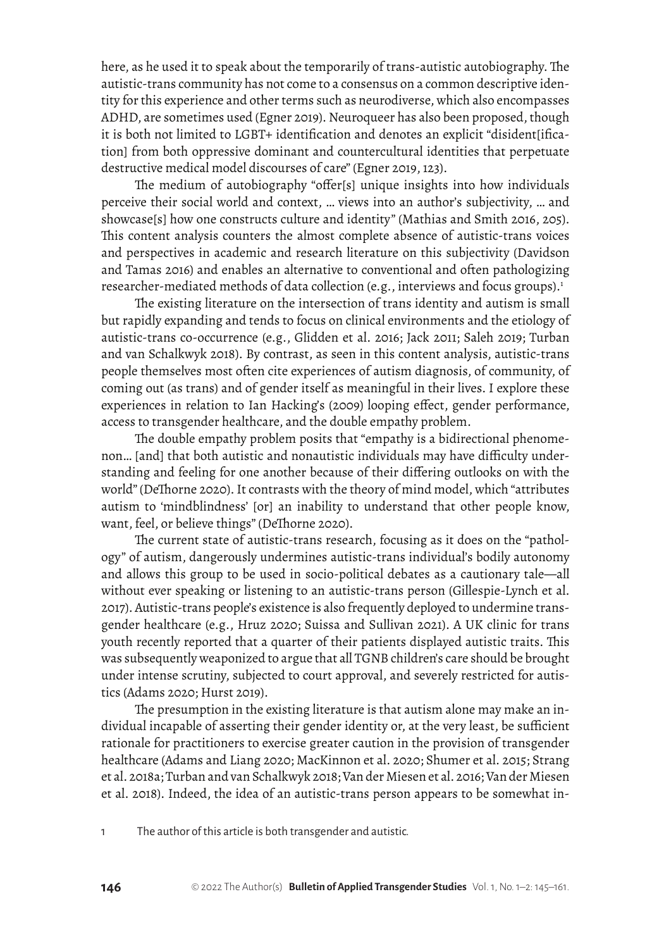here, as he used it to speak about the temporarily of trans-autistic autobiography. The autistic-trans community has not come to a consensus on a common descriptive identity for this experience and other terms such as neurodiverse, which also encompasses ADHD, are sometimes used (Egner 2019). Neuroqueer has also been proposed, though it is both not limited to LGBT+ identification and denotes an explicit "disident[ification] from both oppressive dominant and countercultural identities that perpetuate destructive medical model discourses of care" (Egner 2019, 123).

The medium of autobiography "offer[s] unique insights into how individuals perceive their social world and context, … views into an author's subjectivity, … and showcase[s] how one constructs culture and identity" (Mathias and Smith 2016, 205). This content analysis counters the almost complete absence of autistic-trans voices and perspectives in academic and research literature on this subjectivity (Davidson and Tamas 2016) and enables an alternative to conventional and often pathologizing researcher-mediated methods of data collection (e.g., interviews and focus groups).<sup>1</sup>

The existing literature on the intersection of trans identity and autism is small but rapidly expanding and tends to focus on clinical environments and the etiology of autistic-trans co-occurrence (e.g., Glidden et al. 2016; Jack 2011; Saleh 2019; Turban and van Schalkwyk 2018). By contrast, as seen in this content analysis, autistic-trans people themselves most often cite experiences of autism diagnosis, of community, of coming out (as trans) and of gender itself as meaningful in their lives. I explore these experiences in relation to Ian Hacking's (2009) looping effect, gender performance, access to transgender healthcare, and the double empathy problem.

The double empathy problem posits that "empathy is a bidirectional phenomenon… [and] that both autistic and nonautistic individuals may have difficulty understanding and feeling for one another because of their differing outlooks on with the world" (DeThorne 2020). It contrasts with the theory of mind model, which "attributes autism to 'mindblindness' [or] an inability to understand that other people know, want, feel, or believe things" (DeThorne 2020).

The current state of autistic-trans research, focusing as it does on the "pathology" of autism, dangerously undermines autistic-trans individual's bodily autonomy and allows this group to be used in socio-political debates as a cautionary tale—all without ever speaking or listening to an autistic-trans person (Gillespie-Lynch et al. 2017). Autistic-trans people's existence is also frequently deployed to undermine transgender healthcare (e.g., Hruz 2020; Suissa and Sullivan 2021). A UK clinic for trans youth recently reported that a quarter of their patients displayed autistic traits. This was subsequently weaponized to argue that all TGNB children's care should be brought under intense scrutiny, subjected to court approval, and severely restricted for autistics (Adams 2020; Hurst 2019).

The presumption in the existing literature is that autism alone may make an individual incapable of asserting their gender identity or, at the very least, be sufficient rationale for practitioners to exercise greater caution in the provision of transgender healthcare (Adams and Liang 2020; MacKinnon et al. 2020; Shumer et al. 2015; Strang et al. 2018a; Turban and van Schalkwyk 2018; Van der Miesen et al. 2016; Van der Miesen et al. 2018). Indeed, the idea of an autistic-trans person appears to be somewhat in-

1 The author of this article is both transgender and autistic.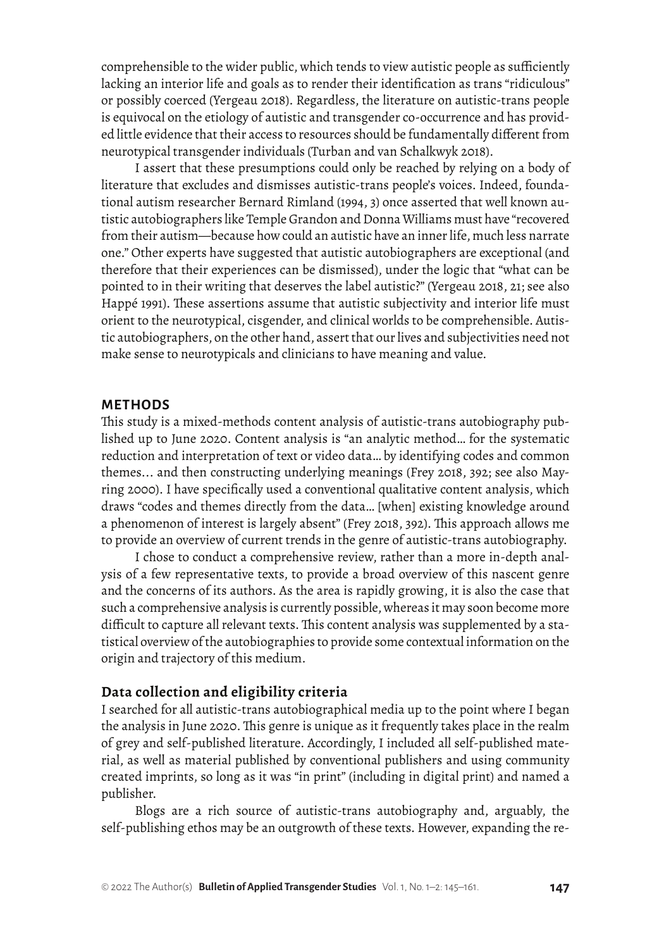comprehensible to the wider public, which tends to view autistic people as sufficiently lacking an interior life and goals as to render their identification as trans "ridiculous" or possibly coerced (Yergeau 2018). Regardless, the literature on autistic-trans people is equivocal on the etiology of autistic and transgender co-occurrence and has provided little evidence that their access to resources should be fundamentally different from neurotypical transgender individuals (Turban and van Schalkwyk 2018).

I assert that these presumptions could only be reached by relying on a body of literature that excludes and dismisses autistic-trans people's voices. Indeed, foundational autism researcher Bernard Rimland (1994, 3) once asserted that well known autistic autobiographers like Temple Grandon and Donna Williams must have "recovered from their autism—because how could an autistic have an inner life, much less narrate one." Other experts have suggested that autistic autobiographers are exceptional (and therefore that their experiences can be dismissed), under the logic that "what can be pointed to in their writing that deserves the label autistic?" (Yergeau 2018, 21; see also Happé 1991). These assertions assume that autistic subjectivity and interior life must orient to the neurotypical, cisgender, and clinical worlds to be comprehensible. Autistic autobiographers, on the other hand, assert that our lives and subjectivities need not make sense to neurotypicals and clinicians to have meaning and value.

#### **METHODS**

This study is a mixed-methods content analysis of autistic-trans autobiography published up to June 2020. Content analysis is "an analytic method… for the systematic reduction and interpretation of text or video data… by identifying codes and common themes... and then constructing underlying meanings (Frey 2018, 392; see also Mayring 2000). I have specifically used a conventional qualitative content analysis, which draws "codes and themes directly from the data… [when] existing knowledge around a phenomenon of interest is largely absent" (Frey 2018, 392). This approach allows me to provide an overview of current trends in the genre of autistic-trans autobiography.

I chose to conduct a comprehensive review, rather than a more in-depth analysis of a few representative texts, to provide a broad overview of this nascent genre and the concerns of its authors. As the area is rapidly growing, it is also the case that such a comprehensive analysis is currently possible, whereas it may soon become more difficult to capture all relevant texts. This content analysis was supplemented by a statistical overview of the autobiographies to provide some contextual information on the origin and trajectory of this medium.

#### **Data collection and eligibility criteria**

I searched for all autistic-trans autobiographical media up to the point where I began the analysis in June 2020. This genre is unique as it frequently takes place in the realm of grey and self-published literature. Accordingly, I included all self-published material, as well as material published by conventional publishers and using community created imprints, so long as it was "in print" (including in digital print) and named a publisher.

Blogs are a rich source of autistic-trans autobiography and, arguably, the self-publishing ethos may be an outgrowth of these texts. However, expanding the re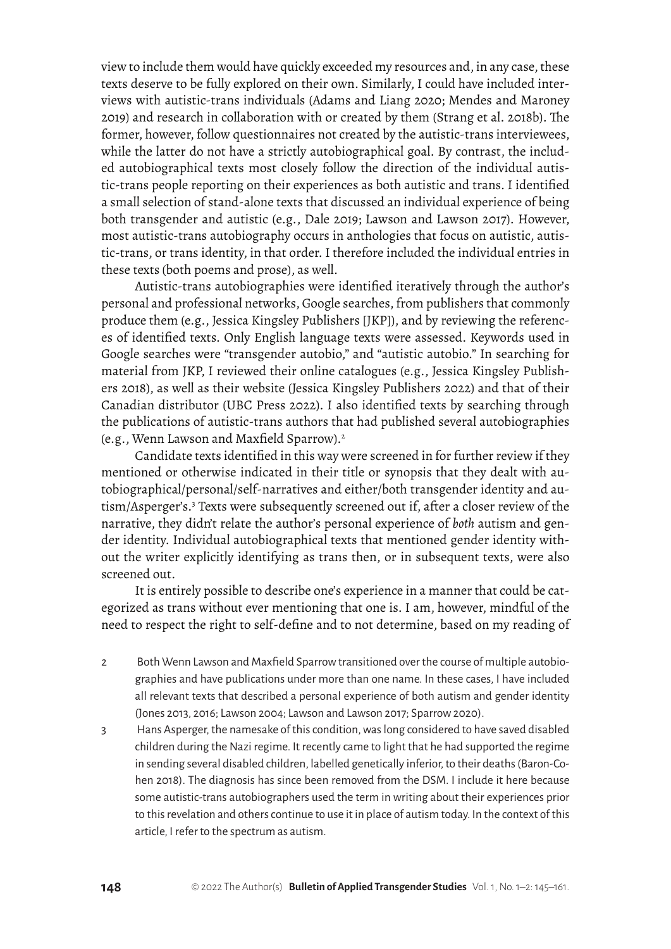view to include them would have quickly exceeded my resources and, in any case, these texts deserve to be fully explored on their own. Similarly, I could have included interviews with autistic-trans individuals (Adams and Liang 2020; Mendes and Maroney 2019) and research in collaboration with or created by them (Strang et al. 2018b). The former, however, follow questionnaires not created by the autistic-trans interviewees, while the latter do not have a strictly autobiographical goal. By contrast, the included autobiographical texts most closely follow the direction of the individual autistic-trans people reporting on their experiences as both autistic and trans. I identified a small selection of stand-alone texts that discussed an individual experience of being both transgender and autistic (e.g., Dale 2019; Lawson and Lawson 2017). However, most autistic-trans autobiography occurs in anthologies that focus on autistic, autistic-trans, or trans identity, in that order. I therefore included the individual entries in these texts (both poems and prose), as well.

Autistic-trans autobiographies were identified iteratively through the author's personal and professional networks, Google searches, from publishers that commonly produce them (e.g., Jessica Kingsley Publishers [JKP]), and by reviewing the references of identified texts. Only English language texts were assessed. Keywords used in Google searches were "transgender autobio," and "autistic autobio." In searching for material from JKP, I reviewed their online catalogues (e.g., Jessica Kingsley Publishers 2018), as well as their website (Jessica Kingsley Publishers 2022) and that of their Canadian distributor (UBC Press 2022). I also identified texts by searching through the publications of autistic-trans authors that had published several autobiographies (e.g., Wenn Lawson and Maxfield Sparrow).<sup>2</sup>

Candidate texts identified in this way were screened in for further review if they mentioned or otherwise indicated in their title or synopsis that they dealt with autobiographical/personal/self-narratives and either/both transgender identity and autism/Asperger's.<sup>3</sup> Texts were subsequently screened out if, after a closer review of the narrative, they didn't relate the author's personal experience of *both* autism and gender identity. Individual autobiographical texts that mentioned gender identity without the writer explicitly identifying as trans then, or in subsequent texts, were also screened out.

It is entirely possible to describe one's experience in a manner that could be categorized as trans without ever mentioning that one is. I am, however, mindful of the need to respect the right to self-define and to not determine, based on my reading of

- 2 Both Wenn Lawson and Maxfield Sparrow transitioned over the course of multiple autobiographies and have publications under more than one name. In these cases, I have included all relevant texts that described a personal experience of both autism and gender identity (Jones 2013, 2016; Lawson 2004; Lawson and Lawson 2017; Sparrow 2020).
- 3 Hans Asperger, the namesake of this condition, was long considered to have saved disabled children during the Nazi regime. It recently came to light that he had supported the regime in sending several disabled children, labelled genetically inferior, to their deaths (Baron-Cohen 2018). The diagnosis has since been removed from the DSM. I include it here because some autistic-trans autobiographers used the term in writing about their experiences prior to this revelation and others continue to use it in place of autism today. In the context of this article, I refer to the spectrum as autism.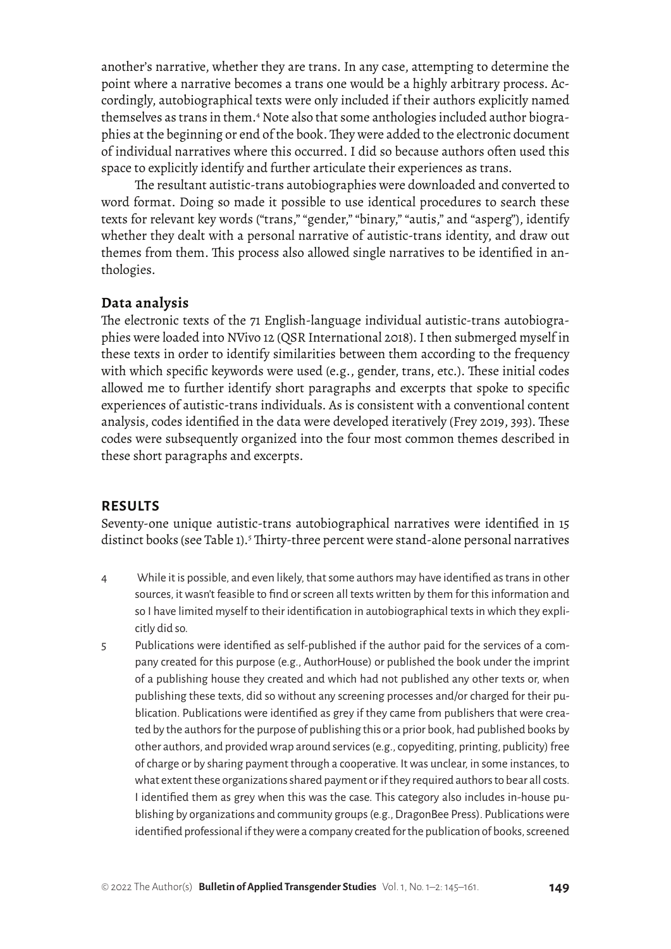another's narrative, whether they are trans. In any case, attempting to determine the point where a narrative becomes a trans one would be a highly arbitrary process. Accordingly, autobiographical texts were only included if their authors explicitly named themselves as trans in them.4 Note also that some anthologies included author biographies at the beginning or end of the book. They were added to the electronic document of individual narratives where this occurred. I did so because authors often used this space to explicitly identify and further articulate their experiences as trans.

The resultant autistic-trans autobiographies were downloaded and converted to word format. Doing so made it possible to use identical procedures to search these texts for relevant key words ("trans," "gender," "binary," "autis," and "asperg"), identify whether they dealt with a personal narrative of autistic-trans identity, and draw out themes from them. This process also allowed single narratives to be identified in anthologies.

## **Data analysis**

The electronic texts of the 71 English-language individual autistic-trans autobiographies were loaded into NVivo 12 (QSR International 2018). I then submerged myself in these texts in order to identify similarities between them according to the frequency with which specific keywords were used (e.g., gender, trans, etc.). These initial codes allowed me to further identify short paragraphs and excerpts that spoke to specific experiences of autistic-trans individuals. As is consistent with a conventional content analysis, codes identified in the data were developed iteratively (Frey 2019, 393). These codes were subsequently organized into the four most common themes described in these short paragraphs and excerpts.

#### **RESULTS**

Seventy-one unique autistic-trans autobiographical narratives were identified in 15 distinct books (see Table 1).<sup>5</sup> Thirty-three percent were stand-alone personal narratives

- 4 While it is possible, and even likely, that some authors may have identified as trans in other sources, it wasn't feasible to find or screen all texts written by them for this information and so I have limited myself to their identification in autobiographical texts in which they explicitly did so.
- 5 Publications were identified as self-published if the author paid for the services of a company created for this purpose (e.g., AuthorHouse) or published the book under the imprint of a publishing house they created and which had not published any other texts or, when publishing these texts, did so without any screening processes and/or charged for their publication. Publications were identified as grey if they came from publishers that were created by the authors for the purpose of publishing this or a prior book, had published books by other authors, and provided wrap around services (e.g., copyediting, printing, publicity) free of charge or by sharing payment through a cooperative. It was unclear, in some instances, to what extent these organizations shared payment or if they required authors to bear all costs. I identified them as grey when this was the case. This category also includes in-house publishing by organizations and community groups (e.g., DragonBee Press). Publications were identified professional if they were a company created for the publication of books, screened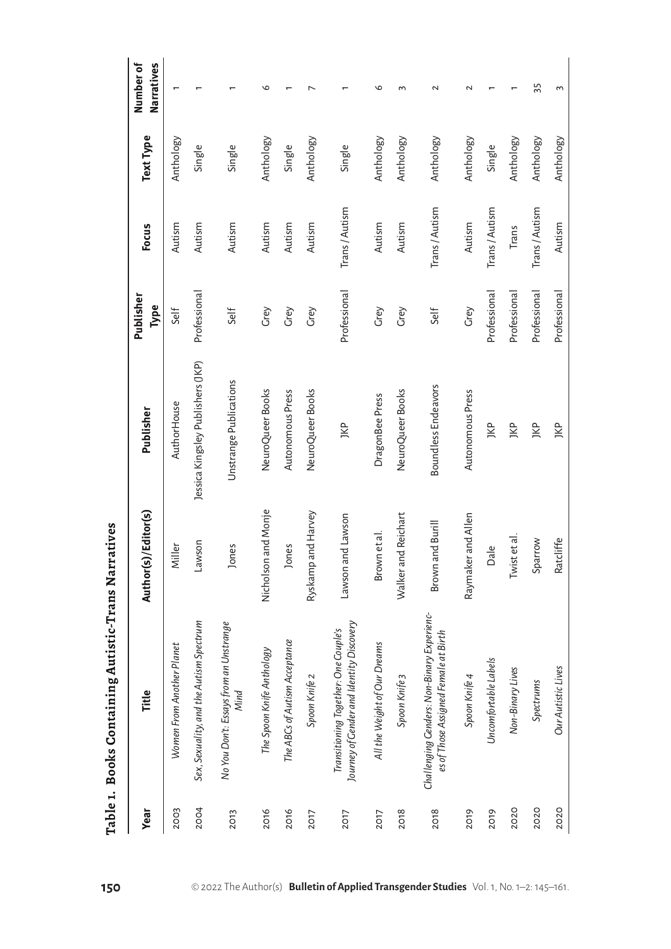| Year        | Title                                                                              | Author(s)/Editor(s) | Publisher                         | Publisher<br>Type | Focus        | Text Type | Number of<br>Narratives |
|-------------|------------------------------------------------------------------------------------|---------------------|-----------------------------------|-------------------|--------------|-----------|-------------------------|
| 2003        | Women From Another Planet                                                          | Miller              | AuthorHouse                       | Self              | Autism       | Anthology |                         |
| 2004        | Sex, Sexuality, and the Autism Spectrum                                            | Lawson              | Jessica Kingsley Publishers (JKP) | Professional      | Autism       | Single    |                         |
| 2013        | No You Don't: Essays from an Unstrange<br>Nind                                     | lones               | Unstrange Publications            | Self              | Autism       | Single    |                         |
| 2016        | The Spoon Knife Anthology                                                          | Nicholson and Monje | NeuroQueer Books                  | Grey              | Autism       | Anthology | ৩                       |
| 2016        | The ABCs of Autism Acceptance                                                      | lones               | Autonomous Press                  | Grey              | Autism       | Single    |                         |
| <b>2017</b> | Spoon Knife 2                                                                      | Ryskamp and Harvey  | NeuroQueer Books                  | Grey              | Autism       | Anthology |                         |
| <b>2017</b> | Journey of Gender and Identity Discovery<br>Transitioning Together: One Couple's   | Lawson and Lawson   | JKP                               | Professional      | Trans/Autism | Single    |                         |
| 2017        | All the Weight of Our Dreams                                                       | Brown et al.        | DragonBee Press                   | Grey              | Autism       | Anthology | ৩                       |
| 2018        | Spoon Knife 3                                                                      | Walker and Reichart | NeuroQueer Books                  | Grey              | Autism       | Anthology | ξ                       |
| 2018        | Challenging Genders: Non-Binary Experienc-<br>es of Those Assigned Female at Birth | and Burill<br>Brown | Boundless Endeavors               | Self              | Trans/Autism | Anthology | 2                       |
| 2019        | Spoon Knife 4                                                                      | Raymaker and Allen  | Autonomous Press                  | Grey              | Autism       | Anthology | 2                       |
| 2019        | Uncomfortable Labels                                                               | Dale                | JKP                               | Professional      | Trans/Autism | Single    |                         |
| <b>2020</b> | Non-Binary Lives                                                                   | st et al.<br>ĪΜ     | JKP                               | Professional      | Trans        | Anthology |                         |
| <b>2020</b> | Spectrums                                                                          | Sparrow             | JKP                               | Professional      | Trans/Autism | Anthology | 55                      |
| <b>2020</b> | Our Autistic Lives                                                                 | Ratcliffe           | JKP                               | Professional      | Autism       | Anthology | 3                       |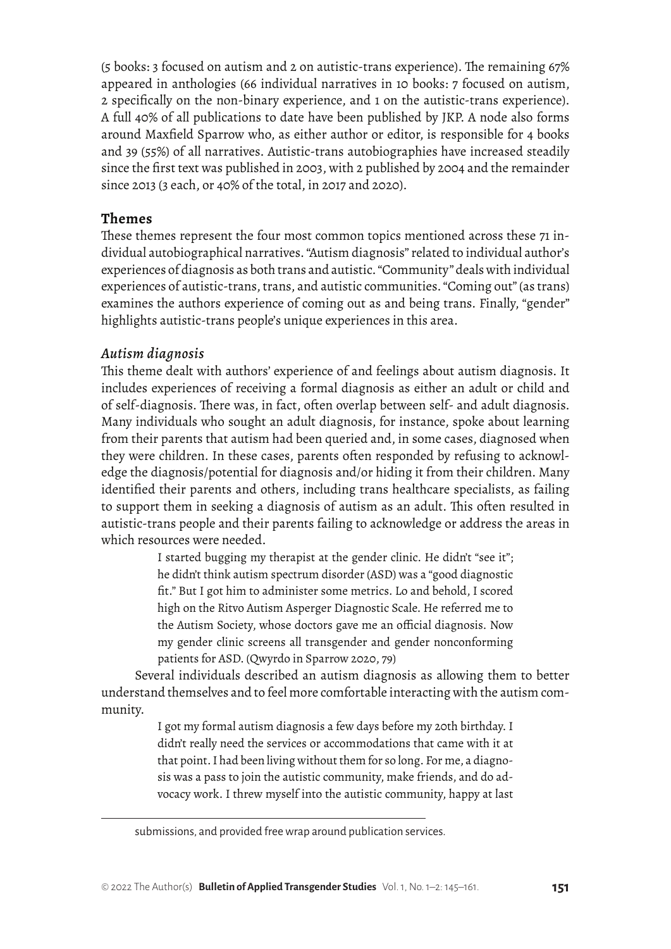(5 books: 3 focused on autism and 2 on autistic-trans experience). The remaining 67% appeared in anthologies (66 individual narratives in 10 books: 7 focused on autism, 2 specifically on the non-binary experience, and 1 on the autistic-trans experience). A full 40% of all publications to date have been published by JKP. A node also forms around Maxfield Sparrow who, as either author or editor, is responsible for 4 books and 39 (55%) of all narratives. Autistic-trans autobiographies have increased steadily since the first text was published in 2003, with 2 published by 2004 and the remainder since 2013 (3 each, or 40% of the total, in 2017 and 2020).

# **Themes**

These themes represent the four most common topics mentioned across these 71 individual autobiographical narratives. "Autism diagnosis" related to individual author's experiences of diagnosis as both trans and autistic. "Community" deals with individual experiences of autistic-trans, trans, and autistic communities. "Coming out" (as trans) examines the authors experience of coming out as and being trans. Finally, "gender" highlights autistic-trans people's unique experiences in this area.

# *Autism diagnosis*

This theme dealt with authors' experience of and feelings about autism diagnosis. It includes experiences of receiving a formal diagnosis as either an adult or child and of self-diagnosis. There was, in fact, often overlap between self- and adult diagnosis. Many individuals who sought an adult diagnosis, for instance, spoke about learning from their parents that autism had been queried and, in some cases, diagnosed when they were children. In these cases, parents often responded by refusing to acknowledge the diagnosis/potential for diagnosis and/or hiding it from their children. Many identified their parents and others, including trans healthcare specialists, as failing to support them in seeking a diagnosis of autism as an adult. This often resulted in autistic-trans people and their parents failing to acknowledge or address the areas in which resources were needed.

> I started bugging my therapist at the gender clinic. He didn't "see it"; he didn't think autism spectrum disorder (ASD) was a "good diagnostic fit." But I got him to administer some metrics. Lo and behold, I scored high on the Ritvo Autism Asperger Diagnostic Scale. He referred me to the Autism Society, whose doctors gave me an official diagnosis. Now my gender clinic screens all transgender and gender nonconforming patients for ASD. (Qwyrdo in Sparrow 2020, 79)

Several individuals described an autism diagnosis as allowing them to better understand themselves and to feel more comfortable interacting with the autism community.

> I got my formal autism diagnosis a few days before my 20th birthday. I didn't really need the services or accommodations that came with it at that point. I had been living without them for so long. For me, a diagnosis was a pass to join the autistic community, make friends, and do advocacy work. I threw myself into the autistic community, happy at last

submissions, and provided free wrap around publication services.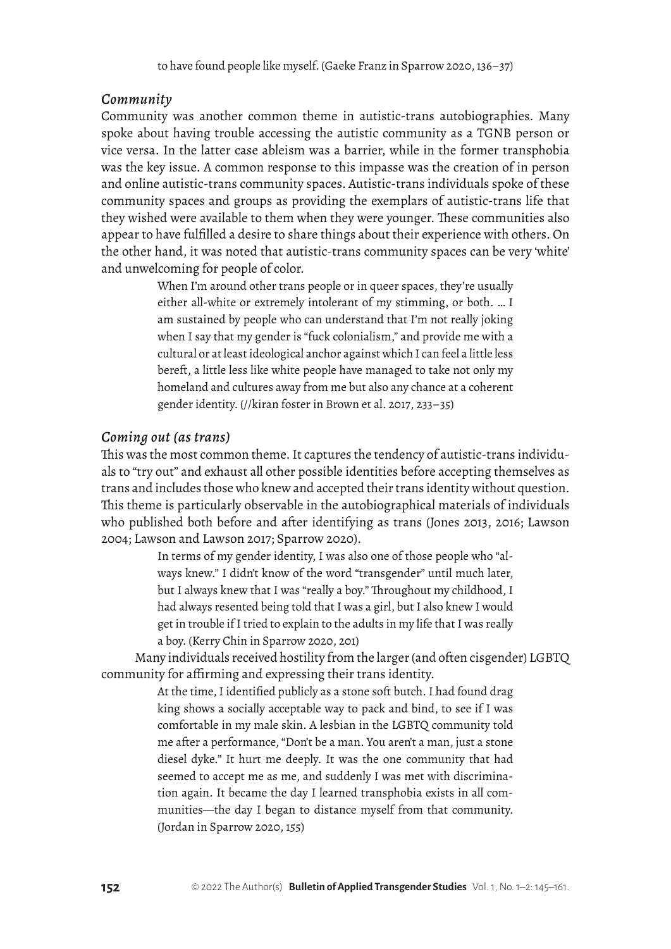## *Community*

Community was another common theme in autistic-trans autobiographies. Many spoke about having trouble accessing the autistic community as a TGNB person or vice versa. In the latter case ableism was a barrier, while in the former transphobia was the key issue. A common response to this impasse was the creation of in person and online autistic-trans community spaces. Autistic-trans individuals spoke of these community spaces and groups as providing the exemplars of autistic-trans life that they wished were available to them when they were younger. These communities also appear to have fulfilled a desire to share things about their experience with others. On the other hand, it was noted that autistic-trans community spaces can be very 'white' and unwelcoming for people of color.

> When I'm around other trans people or in queer spaces, they're usually either all-white or extremely intolerant of my stimming, or both. … I am sustained by people who can understand that I'm not really joking when I say that my gender is "fuck colonialism," and provide me with a cultural or at least ideological anchor against which I can feel a little less bereft, a little less like white people have managed to take not only my homeland and cultures away from me but also any chance at a coherent gender identity. (//kiran foster in Brown et al. 2017, 233–35)

## *Coming out (as trans)*

This was the most common theme. It captures the tendency of autistic-trans individuals to "try out" and exhaust all other possible identities before accepting themselves as trans and includes those who knew and accepted their trans identity without question. This theme is particularly observable in the autobiographical materials of individuals who published both before and after identifying as trans (Jones 2013, 2016; Lawson 2004; Lawson and Lawson 2017; Sparrow 2020).

> In terms of my gender identity, I was also one of those people who "always knew." I didn't know of the word "transgender" until much later, but I always knew that I was "really a boy." Throughout my childhood, I had always resented being told that I was a girl, but I also knew I would get in trouble if I tried to explain to the adults in my life that I was really a boy. (Kerry Chin in Sparrow 2020, 201)

Many individuals received hostility from the larger (and often cisgender) LGBTQ community for affirming and expressing their trans identity.

> At the time, I identified publicly as a stone soft butch. I had found drag king shows a socially acceptable way to pack and bind, to see if I was comfortable in my male skin. A lesbian in the LGBTQ community told me after a performance, "Don't be a man. You aren't a man, just a stone diesel dyke." It hurt me deeply. It was the one community that had seemed to accept me as me, and suddenly I was met with discrimination again. It became the day I learned transphobia exists in all communities—the day I began to distance myself from that community. (Jordan in Sparrow 2020, 155)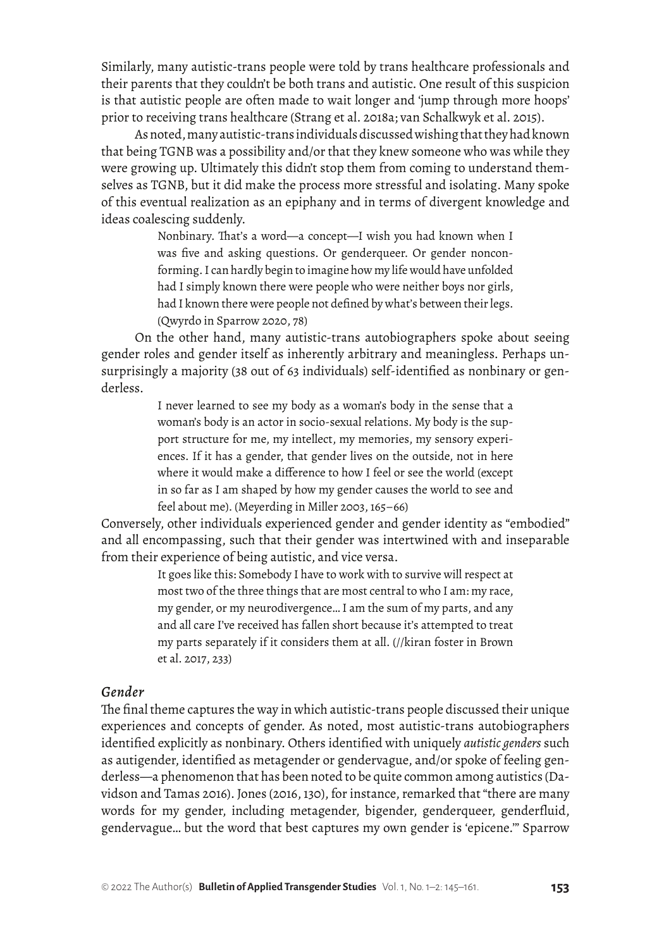Similarly, many autistic-trans people were told by trans healthcare professionals and their parents that they couldn't be both trans and autistic. One result of this suspicion is that autistic people are often made to wait longer and 'jump through more hoops' prior to receiving trans healthcare (Strang et al. 2018a; van Schalkwyk et al. 2015).

As noted, many autistic-trans individuals discussed wishing that they had known that being TGNB was a possibility and/or that they knew someone who was while they were growing up. Ultimately this didn't stop them from coming to understand themselves as TGNB, but it did make the process more stressful and isolating. Many spoke of this eventual realization as an epiphany and in terms of divergent knowledge and ideas coalescing suddenly.

> Nonbinary. That's a word—a concept—I wish you had known when I was five and asking questions. Or genderqueer. Or gender nonconforming. I can hardly begin to imagine how my life would have unfolded had I simply known there were people who were neither boys nor girls, had I known there were people not defined by what's between their legs. (Qwyrdo in Sparrow 2020, 78)

On the other hand, many autistic-trans autobiographers spoke about seeing gender roles and gender itself as inherently arbitrary and meaningless. Perhaps unsurprisingly a majority (38 out of 63 individuals) self-identified as nonbinary or genderless.

> I never learned to see my body as a woman's body in the sense that a woman's body is an actor in socio-sexual relations. My body is the support structure for me, my intellect, my memories, my sensory experiences. If it has a gender, that gender lives on the outside, not in here where it would make a difference to how I feel or see the world (except in so far as I am shaped by how my gender causes the world to see and feel about me). (Meyerding in Miller 2003, 165–66)

Conversely, other individuals experienced gender and gender identity as "embodied" and all encompassing, such that their gender was intertwined with and inseparable from their experience of being autistic, and vice versa.

> It goes like this: Somebody I have to work with to survive will respect at most two of the three things that are most central to who I am: my race, my gender, or my neurodivergence… I am the sum of my parts, and any and all care I've received has fallen short because it's attempted to treat my parts separately if it considers them at all. (//kiran foster in Brown et al. 2017, 233)

#### *Gender*

The final theme captures the way in which autistic-trans people discussed their unique experiences and concepts of gender. As noted, most autistic-trans autobiographers identified explicitly as nonbinary. Others identified with uniquely *autistic genders* such as autigender, identified as metagender or gendervague, and/or spoke of feeling genderless—a phenomenon that has been noted to be quite common among autistics (Davidson and Tamas 2016). Jones (2016, 130), for instance, remarked that "there are many words for my gender, including metagender, bigender, genderqueer, genderfluid, gendervague… but the word that best captures my own gender is 'epicene.'" Sparrow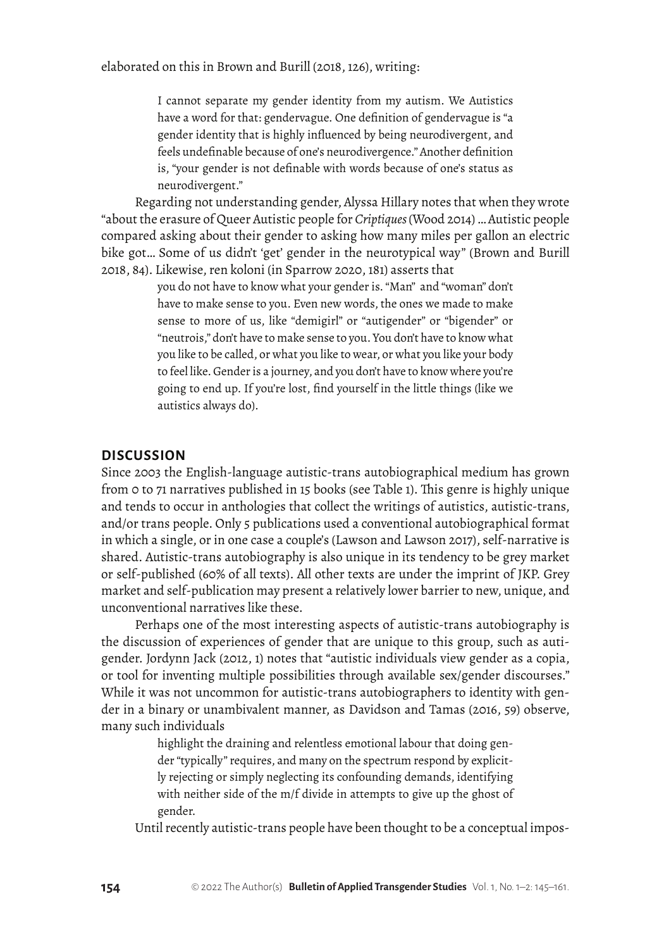I cannot separate my gender identity from my autism. We Autistics have a word for that: gendervague. One definition of gendervague is "a gender identity that is highly influenced by being neurodivergent, and feels undefinable because of one's neurodivergence." Another definition is, "your gender is not definable with words because of one's status as neurodivergent."

Regarding not understanding gender, Alyssa Hillary notes that when they wrote "about the erasure of Queer Autistic people for *Criptiques* (Wood 2014) … Autistic people compared asking about their gender to asking how many miles per gallon an electric bike got… Some of us didn't 'get' gender in the neurotypical way" (Brown and Burill 2018, 84). Likewise, ren koloni (in Sparrow 2020, 181) asserts that

> you do not have to know what your gender is. "Man" and "woman" don't have to make sense to you. Even new words, the ones we made to make sense to more of us, like "demigirl" or "autigender" or "bigender" or "neutrois," don't have to make sense to you. You don't have to know what you like to be called, or what you like to wear, or what you like your body to feel like. Gender is a journey, and you don't have to know where you're going to end up. If you're lost, find yourself in the little things (like we autistics always do).

## **DISCUSSION**

Since 2003 the English-language autistic-trans autobiographical medium has grown from 0 to 71 narratives published in 15 books (see Table 1). This genre is highly unique and tends to occur in anthologies that collect the writings of autistics, autistic-trans, and/or trans people. Only 5 publications used a conventional autobiographical format in which a single, or in one case a couple's (Lawson and Lawson 2017), self-narrative is shared. Autistic-trans autobiography is also unique in its tendency to be grey market or self-published (60% of all texts). All other texts are under the imprint of JKP. Grey market and self-publication may present a relatively lower barrier to new, unique, and unconventional narratives like these.

Perhaps one of the most interesting aspects of autistic-trans autobiography is the discussion of experiences of gender that are unique to this group, such as autigender. Jordynn Jack (2012, 1) notes that "autistic individuals view gender as a copia, or tool for inventing multiple possibilities through available sex/gender discourses." While it was not uncommon for autistic-trans autobiographers to identity with gender in a binary or unambivalent manner, as Davidson and Tamas (2016, 59) observe, many such individuals

> highlight the draining and relentless emotional labour that doing gender "typically" requires, and many on the spectrum respond by explicitly rejecting or simply neglecting its confounding demands, identifying with neither side of the m/f divide in attempts to give up the ghost of gender.

Until recently autistic-trans people have been thought to be a conceptual impos-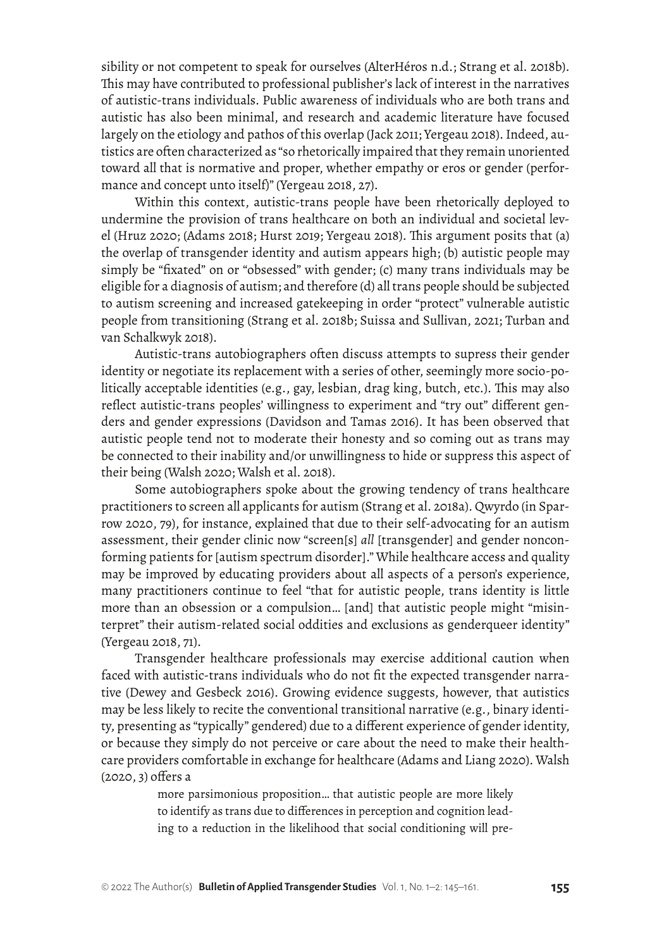sibility or not competent to speak for ourselves (AlterHéros n.d.; Strang et al. 2018b). This may have contributed to professional publisher's lack of interest in the narratives of autistic-trans individuals. Public awareness of individuals who are both trans and autistic has also been minimal, and research and academic literature have focused largely on the etiology and pathos of this overlap (Jack 2011; Yergeau 2018). Indeed, autistics are often characterized as "so rhetorically impaired that they remain unoriented toward all that is normative and proper, whether empathy or eros or gender (performance and concept unto itself)" (Yergeau 2018, 27).

Within this context, autistic-trans people have been rhetorically deployed to undermine the provision of trans healthcare on both an individual and societal level (Hruz 2020; (Adams 2018; Hurst 2019; Yergeau 2018). This argument posits that (a) the overlap of transgender identity and autism appears high; (b) autistic people may simply be "fixated" on or "obsessed" with gender; (c) many trans individuals may be eligible for a diagnosis of autism; and therefore (d) all trans people should be subjected to autism screening and increased gatekeeping in order "protect" vulnerable autistic people from transitioning (Strang et al. 2018b; Suissa and Sullivan, 2021; Turban and van Schalkwyk 2018).

Autistic-trans autobiographers often discuss attempts to supress their gender identity or negotiate its replacement with a series of other, seemingly more socio-politically acceptable identities (e.g., gay, lesbian, drag king, butch, etc.). This may also reflect autistic-trans peoples' willingness to experiment and "try out" different genders and gender expressions (Davidson and Tamas 2016). It has been observed that autistic people tend not to moderate their honesty and so coming out as trans may be connected to their inability and/or unwillingness to hide or suppress this aspect of their being (Walsh 2020; Walsh et al. 2018).

Some autobiographers spoke about the growing tendency of trans healthcare practitioners to screen all applicants for autism (Strang et al. 2018a). Qwyrdo (in Sparrow 2020, 79), for instance, explained that due to their self-advocating for an autism assessment, their gender clinic now "screen[s] *all* [transgender] and gender nonconforming patients for [autism spectrum disorder]." While healthcare access and quality may be improved by educating providers about all aspects of a person's experience, many practitioners continue to feel "that for autistic people, trans identity is little more than an obsession or a compulsion… [and] that autistic people might "misinterpret" their autism-related social oddities and exclusions as genderqueer identity" (Yergeau 2018, 71).

Transgender healthcare professionals may exercise additional caution when faced with autistic-trans individuals who do not fit the expected transgender narrative (Dewey and Gesbeck 2016). Growing evidence suggests, however, that autistics may be less likely to recite the conventional transitional narrative (e.g., binary identity, presenting as "typically" gendered) due to a different experience of gender identity, or because they simply do not perceive or care about the need to make their healthcare providers comfortable in exchange for healthcare (Adams and Liang 2020). Walsh (2020, 3) offers a

> more parsimonious proposition… that autistic people are more likely to identify as trans due to differences in perception and cognition leading to a reduction in the likelihood that social conditioning will pre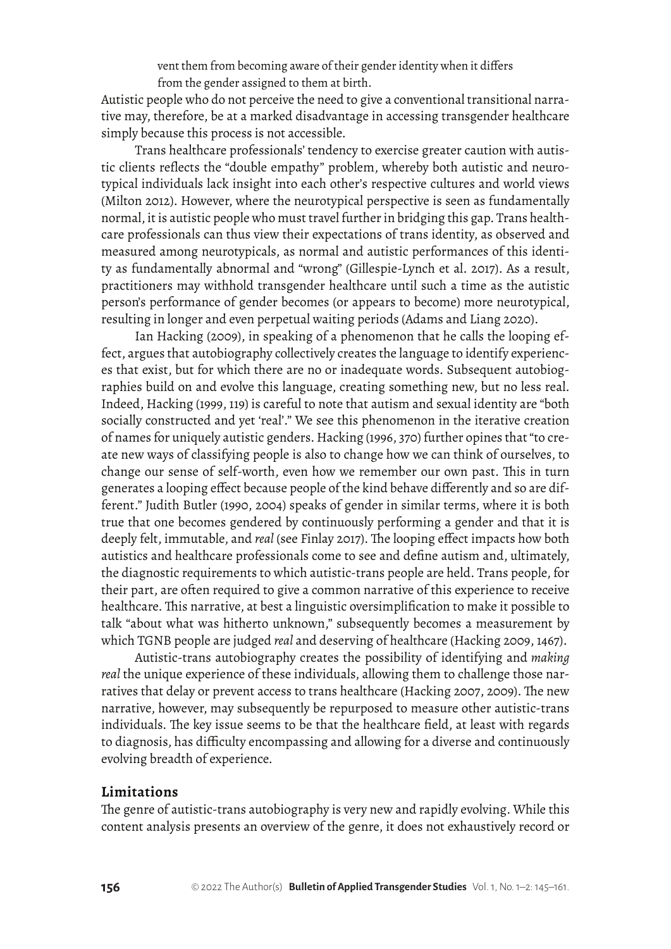vent them from becoming aware of their gender identity when it differs from the gender assigned to them at birth.

Autistic people who do not perceive the need to give a conventional transitional narrative may, therefore, be at a marked disadvantage in accessing transgender healthcare simply because this process is not accessible.

Trans healthcare professionals' tendency to exercise greater caution with autistic clients reflects the "double empathy" problem, whereby both autistic and neurotypical individuals lack insight into each other's respective cultures and world views (Milton 2012). However, where the neurotypical perspective is seen as fundamentally normal, it is autistic people who must travel further in bridging this gap. Trans healthcare professionals can thus view their expectations of trans identity, as observed and measured among neurotypicals, as normal and autistic performances of this identity as fundamentally abnormal and "wrong" (Gillespie-Lynch et al. 2017). As a result, practitioners may withhold transgender healthcare until such a time as the autistic person's performance of gender becomes (or appears to become) more neurotypical, resulting in longer and even perpetual waiting periods (Adams and Liang 2020).

Ian Hacking (2009), in speaking of a phenomenon that he calls the looping effect, argues that autobiography collectively creates the language to identify experiences that exist, but for which there are no or inadequate words. Subsequent autobiographies build on and evolve this language, creating something new, but no less real. Indeed, Hacking (1999, 119) is careful to note that autism and sexual identity are "both socially constructed and yet 'real'." We see this phenomenon in the iterative creation of names for uniquely autistic genders. Hacking (1996, 370) further opines that "to create new ways of classifying people is also to change how we can think of ourselves, to change our sense of self-worth, even how we remember our own past. This in turn generates a looping effect because people of the kind behave differently and so are different." Judith Butler (1990, 2004) speaks of gender in similar terms, where it is both true that one becomes gendered by continuously performing a gender and that it is deeply felt, immutable, and *real* (see Finlay 2017). The looping effect impacts how both autistics and healthcare professionals come to see and define autism and, ultimately, the diagnostic requirements to which autistic-trans people are held. Trans people, for their part, are often required to give a common narrative of this experience to receive healthcare. This narrative, at best a linguistic oversimplification to make it possible to talk "about what was hitherto unknown," subsequently becomes a measurement by which TGNB people are judged *real* and deserving of healthcare (Hacking 2009, 1467).

Autistic-trans autobiography creates the possibility of identifying and *making real* the unique experience of these individuals, allowing them to challenge those narratives that delay or prevent access to trans healthcare (Hacking 2007, 2009). The new narrative, however, may subsequently be repurposed to measure other autistic-trans individuals. The key issue seems to be that the healthcare field, at least with regards to diagnosis, has difficulty encompassing and allowing for a diverse and continuously evolving breadth of experience.

## **Limitations**

The genre of autistic-trans autobiography is very new and rapidly evolving. While this content analysis presents an overview of the genre, it does not exhaustively record or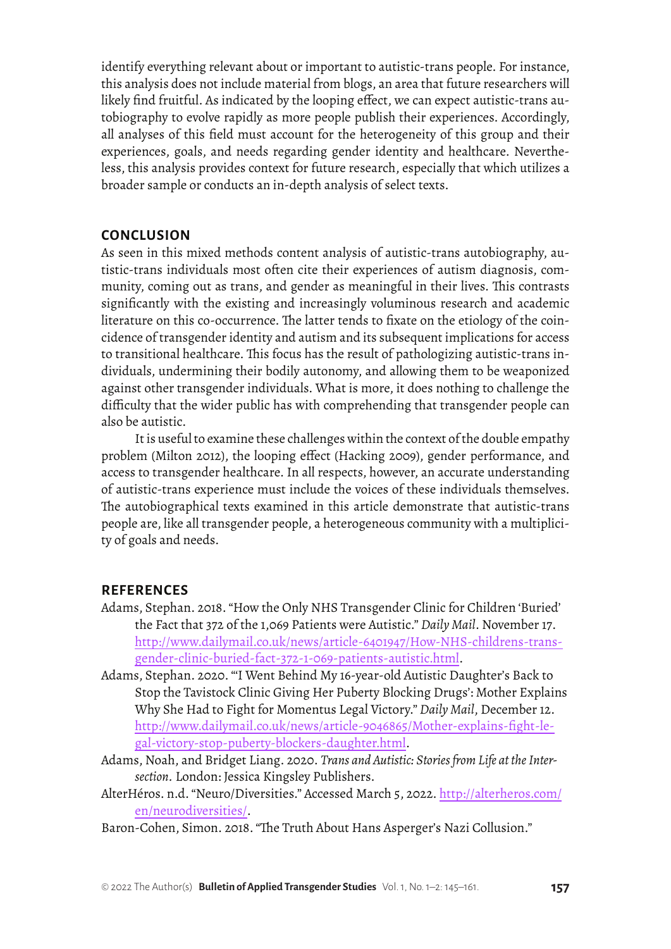identify everything relevant about or important to autistic-trans people. For instance, this analysis does not include material from blogs, an area that future researchers will likely find fruitful. As indicated by the looping effect, we can expect autistic-trans autobiography to evolve rapidly as more people publish their experiences. Accordingly, all analyses of this field must account for the heterogeneity of this group and their experiences, goals, and needs regarding gender identity and healthcare. Nevertheless, this analysis provides context for future research, especially that which utilizes a broader sample or conducts an in-depth analysis of select texts.

## **CONCLUSION**

As seen in this mixed methods content analysis of autistic-trans autobiography, autistic-trans individuals most often cite their experiences of autism diagnosis, community, coming out as trans, and gender as meaningful in their lives. This contrasts significantly with the existing and increasingly voluminous research and academic literature on this co-occurrence. The latter tends to fixate on the etiology of the coincidence of transgender identity and autism and its subsequent implications for access to transitional healthcare. This focus has the result of pathologizing autistic-trans individuals, undermining their bodily autonomy, and allowing them to be weaponized against other transgender individuals. What is more, it does nothing to challenge the difficulty that the wider public has with comprehending that transgender people can also be autistic.

It is useful to examine these challenges within the context of the double empathy problem (Milton 2012), the looping effect (Hacking 2009), gender performance, and access to transgender healthcare. In all respects, however, an accurate understanding of autistic-trans experience must include the voices of these individuals themselves. The autobiographical texts examined in this article demonstrate that autistic-trans people are, like all transgender people, a heterogeneous community with a multiplicity of goals and needs.

#### **REFERENCES**

- Adams, Stephan. 2018. "How the Only NHS Transgender Clinic for Children 'Buried' the Fact that 372 of the 1,069 Patients were Autistic." *Daily Mail*. November 17. [http://www.dailymail.co.uk/news/article-6401947/How-NHS-childrens-trans](http://www.dailymail.co.uk/news/article-6401947/How-NHS-childrens-transgender-clinic-buried-fact-372-1-069-patients-autistic.html)[gender-clinic-buried-fact-372-1-069-patients-autistic.html](http://www.dailymail.co.uk/news/article-6401947/How-NHS-childrens-transgender-clinic-buried-fact-372-1-069-patients-autistic.html).
- Adams, Stephan. 2020. "'I Went Behind My 16-year-old Autistic Daughter's Back to Stop the Tavistock Clinic Giving Her Puberty Blocking Drugs': Mother Explains Why She Had to Fight for Momentus Legal Victory." *Daily Mail*, December 12. [http://www.dailymail.co.uk/news/article-9046865/Mother-explains-fight-le](http://www.dailymail.co.uk/news/article-9046865/Mother-explains-fight-legal-victory-stop-puberty-blockers-daughter.html)[gal-victory-stop-puberty-blockers-daughter.html](http://www.dailymail.co.uk/news/article-9046865/Mother-explains-fight-legal-victory-stop-puberty-blockers-daughter.html).
- Adams, Noah, and Bridget Liang. 2020. *Trans and Autistic: Stories from Life at the Intersection.* London: Jessica Kingsley Publishers.
- AlterHéros. n.d. "Neuro/Diversities." Accessed March 5, 2022. [http://alterheros.com/](http://alterheros.com/en/neurodiversities/) [en/neurodiversities/](http://alterheros.com/en/neurodiversities/).
- Baron-Cohen, Simon. 2018. "The Truth About Hans Asperger's Nazi Collusion."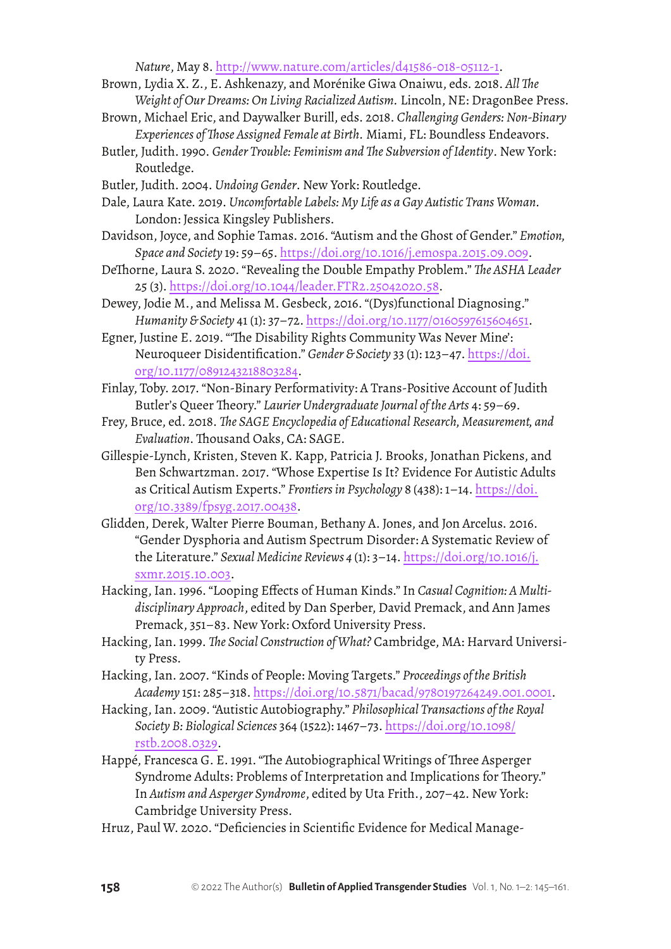*Nature*, May 8.<http://www.nature.com/articles/d41586-018-05112-1>.

- Brown, Lydia X. Z., E. Ashkenazy, and Morénike Giwa Onaiwu, eds. 2018. *All The Weight of Our Dreams: On Living Racialized Autism.* Lincoln, NE: DragonBee Press.
- Brown, Michael Eric, and Daywalker Burill, eds. 2018. *Challenging Genders: Non-Binary Experiences of Those Assigned Female at Birth.* Miami, FL: Boundless Endeavors.
- Butler, Judith. 1990. *Gender Trouble: Feminism and The Subversion of Identity*. New York: Routledge.
- Butler, Judith. 2004. *Undoing Gender*. New York: Routledge.
- Dale, Laura Kate. 2019. *Uncomfortable Labels: My Life as a Gay Autistic Trans Woman.* London: Jessica Kingsley Publishers.
- Davidson, Joyce, and Sophie Tamas. 2016. "Autism and the Ghost of Gender." *Emotion, Space and Society* 19: 59–65. <https://doi.org/10.1016/j.emospa.2015.09.009>.
- DeThorne, Laura S. 2020. "Revealing the Double Empathy Problem." *The ASHA Leader* 25 (3).<https://doi.org/10.1044/leader.FTR2.25042020.58>.
- Dewey, Jodie M., and Melissa M. Gesbeck, 2016. "(Dys)functional Diagnosing." *Humanity & Society* 41 (1): 37–72. <https://doi.org/10.1177/0160597615604651>.
- Egner, Justine E. 2019. "'The Disability Rights Community Was Never Mine': Neuroqueer Disidentification." *Gender & Society* 33 (1): 123–47. [https://doi.](https://doi.org/10.1177/0891243218803284) [org/10.1177/0891243218803284](https://doi.org/10.1177/0891243218803284).
- Finlay, Toby. 2017. "Non-Binary Performativity: A Trans-Positive Account of Judith Butler's Queer Theory." *Laurier Undergraduate Journal of the Arts* 4: 59–69.
- Frey, Bruce, ed. 2018. *The SAGE Encyclopedia of Educational Research, Measurement, and Evaluation*. Thousand Oaks, CA: SAGE.
- Gillespie-Lynch, Kristen, Steven K. Kapp, Patricia J. Brooks, Jonathan Pickens, and Ben Schwartzman. 2017. "Whose Expertise Is It? Evidence For Autistic Adults as Critical Autism Experts." *Frontiers in Psychology* 8 (438): 1–14. [https://doi.](https://doi.org/10.3389/fpsyg.2017.00438) [org/10.3389/fpsyg.2017.00438](https://doi.org/10.3389/fpsyg.2017.00438).
- Glidden, Derek, Walter Pierre Bouman, Bethany A. Jones, and Jon Arcelus. 2016. "Gender Dysphoria and Autism Spectrum Disorder: A Systematic Review of the Literature." *Sexual Medicine Reviews 4* (1): 3–14. [https://doi.org/10.1016/j.](https://doi.org/10.1016/j.sxmr.2015.10.003) [sxmr.2015.10.003](https://doi.org/10.1016/j.sxmr.2015.10.003).
- Hacking, Ian. 1996. "Looping Effects of Human Kinds." In *Casual Cognition: A Multidisciplinary Approach*, edited by Dan Sperber, David Premack, and Ann James Premack, 351–83. New York: Oxford University Press.
- Hacking, Ian. 1999. *The Social Construction of What?* Cambridge, MA: Harvard University Press.
- Hacking, Ian. 2007. "Kinds of People: Moving Targets." *Proceedings of the British Academy* 151: 285–318. <https://doi.org/10.5871/bacad/9780197264249.001.0001>.
- Hacking, Ian. 2009. "Autistic Autobiography." *Philosophical Transactions of the Royal Society B: Biological Sciences* 364 (1522): 1467–73. [https://doi.org/10.1098/](https://doi.org/10.1098/rstb.2008.0329) [rstb.2008.0329](https://doi.org/10.1098/rstb.2008.0329).
- Happé, Francesca G. E. 1991. "The Autobiographical Writings of Three Asperger Syndrome Adults: Problems of Interpretation and Implications for Theory." In *Autism and Asperger Syndrome*, edited by Uta Frith., 207–42. New York: Cambridge University Press.
- Hruz, Paul W. 2020. "Deficiencies in Scientific Evidence for Medical Manage-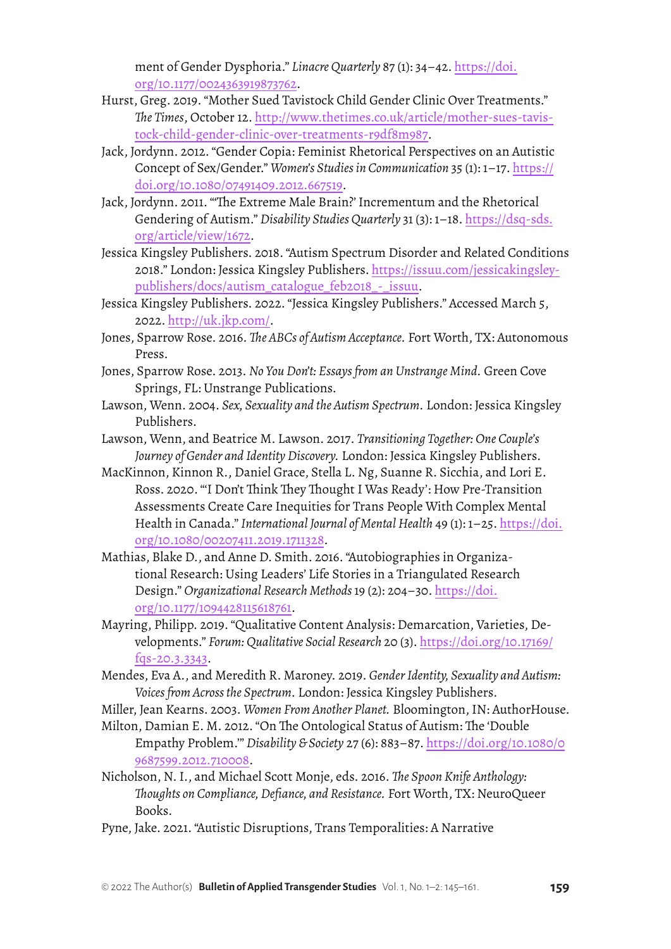ment of Gender Dysphoria." *Linacre Quarterly* 87 (1): 34–42. [https://doi.](https://doi.org/10.1177/0024363919873762) [org/10.1177/0024363919873762](https://doi.org/10.1177/0024363919873762).

- Hurst, Greg. 2019. "Mother Sued Tavistock Child Gender Clinic Over Treatments." *The Times*, October 12. [http://www.thetimes.co.uk/article/mother-sues-tavis](http://www.thetimes.co.uk/article/mother-sues-tavistock-child-gender-clinic-over-treatments-r9df8m987)[tock-child-gender-clinic-over-treatments-r9df8m987](http://www.thetimes.co.uk/article/mother-sues-tavistock-child-gender-clinic-over-treatments-r9df8m987).
- Jack, Jordynn. 2012. "Gender Copia: Feminist Rhetorical Perspectives on an Autistic Concept of Sex/Gender." *Women's Studies in Communication* 35 (1): 1–17. [https://](https://doi.org/10.1080/07491409.2012.667519) [doi.org/10.1080/07491409.2012.667519](https://doi.org/10.1080/07491409.2012.667519).
- Jack, Jordynn. 2011. "'The Extreme Male Brain?' Incrementum and the Rhetorical Gendering of Autism." *Disability Studies Quarterly* 31 (3): 1–18. [https://dsq-sds.](https://dsq-sds.org/article/view/1672) [org/article/view/1672](https://dsq-sds.org/article/view/1672).
- Jessica Kingsley Publishers. 2018. "Autism Spectrum Disorder and Related Conditions 2018." London: Jessica Kingsley Publishers. [https://issuu.com/jessicakingsley](https://issuu.com/jessicakingsleypublishers/docs/autism_catalogue_feb2018_-_issuu)[publishers/docs/autism\\_catalogue\\_feb2018\\_-\\_issuu](https://issuu.com/jessicakingsleypublishers/docs/autism_catalogue_feb2018_-_issuu).
- Jessica Kingsley Publishers. 2022. "Jessica Kingsley Publishers." Accessed March 5, 2022. <http://uk.jkp.com/>.
- Jones, Sparrow Rose. 2016. *The ABCs of Autism Acceptance.* Fort Worth, TX: Autonomous Press.
- Jones, Sparrow Rose. 2013. *No You Don't: Essays from an Unstrange Mind.* Green Cove Springs, FL: Unstrange Publications.
- Lawson, Wenn. 2004. *Sex, Sexuality and the Autism Spectrum.* London: Jessica Kingsley Publishers.
- Lawson, Wenn, and Beatrice M. Lawson. 2017. *Transitioning Together: One Couple's Journey of Gender and Identity Discovery.* London: Jessica Kingsley Publishers.
- MacKinnon, Kinnon R., Daniel Grace, Stella L. Ng, Suanne R. Sicchia, and Lori E. Ross. 2020. "'I Don't Think They Thought I Was Ready': How Pre-Transition Assessments Create Care Inequities for Trans People With Complex Mental Health in Canada." *International Journal of Mental Health* 49 (1): 1–25. [https://doi.](https://doi.org/10.1080/00207411.2019.1711328) [org/10.1080/00207411.2019.1711328](https://doi.org/10.1080/00207411.2019.1711328).
- Mathias, Blake D., and Anne D. Smith. 2016. "Autobiographies in Organizational Research: Using Leaders' Life Stories in a Triangulated Research Design." *Organizational Research Methods* 19 (2): 204–30. [https://doi.](https://doi.org/10.1177/1094428115618761) [org/10.1177/1094428115618761](https://doi.org/10.1177/1094428115618761).
- Mayring, Philipp. 2019. "Qualitative Content Analysis: Demarcation, Varieties, Developments." *Forum: Qualitative Social Research* 20 (3). [https://doi.org/10.17169/](https://doi.org/10.17169/fqs-20.3.3343) [fqs-20.3.3343](https://doi.org/10.17169/fqs-20.3.3343).
- Mendes, Eva A., and Meredith R. Maroney. 2019. *Gender Identity, Sexuality and Autism: Voices from Across the Spectrum.* London: Jessica Kingsley Publishers.
- Miller, Jean Kearns. 2003. *Women From Another Planet.* Bloomington, IN: AuthorHouse.
- Milton, Damian E. M. 2012. "On The Ontological Status of Autism: The 'Double Empathy Problem.'" *Disability & Society* 27 (6): 883–87. [https://doi.org/10.1080/0](https://doi.org/10.1080/09687599.2012.710008) [9687599.2012.710008](https://doi.org/10.1080/09687599.2012.710008).
- Nicholson, N. I., and Michael Scott Monje, eds. 2016. *The Spoon Knife Anthology: Thoughts on Compliance, Defiance, and Resistance.* Fort Worth, TX: NeuroQueer Books.
- Pyne, Jake. 2021. "Autistic Disruptions, Trans Temporalities: A Narrative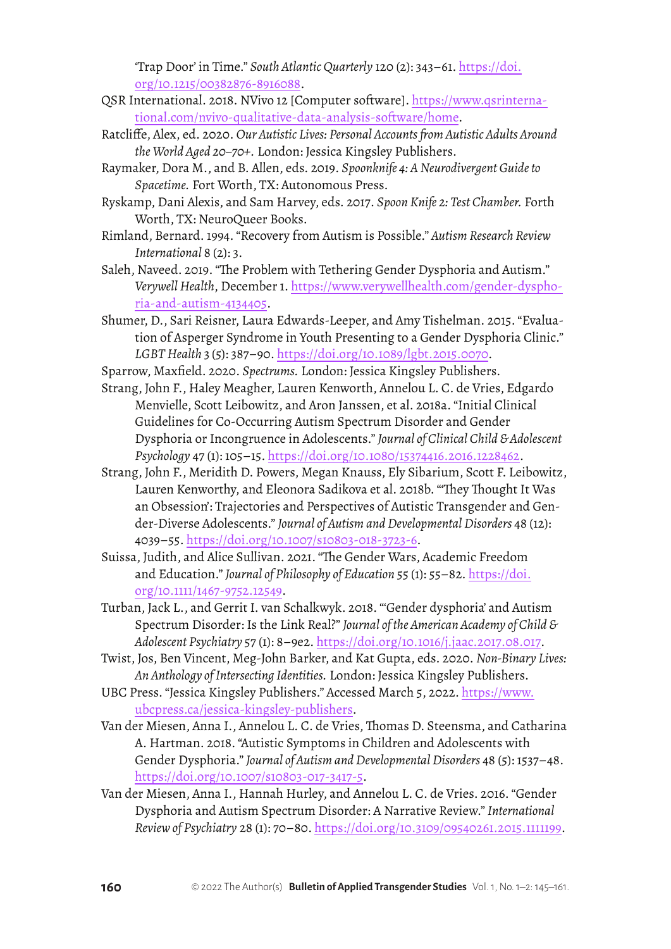'Trap Door' in Time." *South Atlantic Quarterly* 120 (2): 343–61. [https://doi.](https://doi.org/10.1215/00382876-8916088) [org/10.1215/00382876-8916088](https://doi.org/10.1215/00382876-8916088).

- QSR International. 2018. NVivo 12 [Computer software]. [https://www.qsrinterna](https://www.qsrinternational.com/nvivo-qualitative-data-analysis-software/home)[tional.com/nvivo-qualitative-data-analysis-software/home](https://www.qsrinternational.com/nvivo-qualitative-data-analysis-software/home).
- Ratcliffe, Alex, ed. 2020. *Our Autistic Lives: Personal Accounts from Autistic Adults Around the World Aged 20–70+.* London: Jessica Kingsley Publishers.
- Raymaker, Dora M., and B. Allen, eds. 2019. *Spoonknife 4: A Neurodivergent Guide to Spacetime.* Fort Worth, TX: Autonomous Press.
- Ryskamp, Dani Alexis, and Sam Harvey, eds. 2017. *Spoon Knife 2: Test Chamber.* Forth Worth, TX: NeuroQueer Books.
- Rimland, Bernard. 1994. "Recovery from Autism is Possible." *Autism Research Review International* 8 (2): 3.

Saleh, Naveed. 2019. "The Problem with Tethering Gender Dysphoria and Autism." *Verywell Health*, December 1. [https://www.verywellhealth.com/gender-dyspho](https://www.verywellhealth.com/gender-dysphoria-and-autism-4134405)[ria-and-autism-4134405](https://www.verywellhealth.com/gender-dysphoria-and-autism-4134405).

Shumer, D., Sari Reisner, Laura Edwards-Leeper, and Amy Tishelman. 2015. "Evaluation of Asperger Syndrome in Youth Presenting to a Gender Dysphoria Clinic." *LGBT Health* 3 (5): 387–90. <https://doi.org/10.1089/lgbt.2015.0070>.

- Sparrow, Maxfield. 2020. *Spectrums.* London: Jessica Kingsley Publishers.
- Strang, John F., Haley Meagher, Lauren Kenworth, Annelou L. C. de Vries, Edgardo Menvielle, Scott Leibowitz, and Aron Janssen, et al. 2018a. "Initial Clinical Guidelines for Co-Occurring Autism Spectrum Disorder and Gender Dysphoria or Incongruence in Adolescents." *Journal of Clinical Child & Adolescent Psychology* 47 (1): 105–15. <https://doi.org/10.1080/15374416.2016.1228462>.
- Strang, John F., Meridith D. Powers, Megan Knauss, Ely Sibarium, Scott F. Leibowitz, Lauren Kenworthy, and Eleonora Sadikova et al. 2018b. "'They Thought It Was an Obsession': Trajectories and Perspectives of Autistic Transgender and Gender-Diverse Adolescents." *Journal of Autism and Developmental Disorders* 48 (12): 4039–55. <https://doi.org/10.1007/s10803-018-3723-6>.
- Suissa, Judith, and Alice Sullivan. 2021. "The Gender Wars, Academic Freedom and Education." *Journal of Philosophy of Education* 55 (1): 55–82. [https://doi.](https://doi.org/10.1111/1467-9752.12549) [org/10.1111/1467-9752.12549](https://doi.org/10.1111/1467-9752.12549).
- Turban, Jack L., and Gerrit I. van Schalkwyk. 2018. "'Gender dysphoria' and Autism Spectrum Disorder: Is the Link Real?" *Journal of the American Academy of Child & Adolescent Psychiatry* 57 (1): 8–9e2. <https://doi.org/10.1016/j.jaac.2017.08.017>.
- Twist, Jos, Ben Vincent, Meg-John Barker, and Kat Gupta, eds. 2020. *Non-Binary Lives: An Anthology of Intersecting Identities.* London: Jessica Kingsley Publishers.
- UBC Press. "Jessica Kingsley Publishers." Accessed March 5, 2022. [https://www.](https://www.ubcpress.ca/jessica-kingsley-publishers) [ubcpress.ca/jessica-kingsley-publishers](https://www.ubcpress.ca/jessica-kingsley-publishers).
- Van der Miesen, Anna I., Annelou L. C. de Vries, Thomas D. Steensma, and Catharina A. Hartman. 2018. "Autistic Symptoms in Children and Adolescents with Gender Dysphoria." *Journal of Autism and Developmental Disorders* 48 (5): 1537–48. <https://doi.org/10.1007/s10803-017-3417-5>.
- Van der Miesen, Anna I., Hannah Hurley, and Annelou L. C. de Vries. 2016. "Gender Dysphoria and Autism Spectrum Disorder: A Narrative Review." *International Review of Psychiatry* 28 (1): 70–80.<https://doi.org/10.3109/09540261.2015.1111199>.